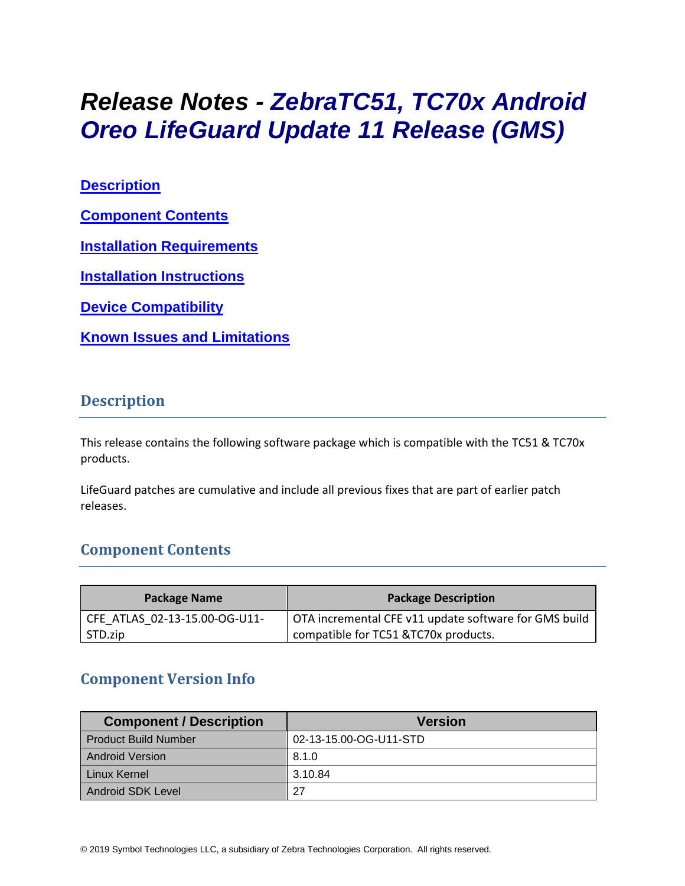# *Release Notes - ZebraTC51, TC70x Android Oreo LifeGuard Update 11 Release (GMS)*

**[Description](#page-0-0)**

**[Component Contents](#page-0-1)**

**[Installation Requirements](#page-2-0)**

**[Installation Instructions](#page-2-1)**

**[Device Compatibility](#page-4-0)**

**Known [Issues and Limitations](#page-4-1)**

#### <span id="page-0-0"></span>**Description**

This release contains the following software package which is compatible with the TC51 & TC70x products.

<span id="page-0-1"></span>LifeGuard patches are cumulative and include all previous fixes that are part of earlier patch releases.

# **Component Contents**

| <b>Package Name</b>           | <b>Package Description</b>                            |
|-------------------------------|-------------------------------------------------------|
| CFE ATLAS 02-13-15.00-OG-U11- | OTA incremental CFE v11 update software for GMS build |
| STD.zip                       | compatible for TC51 & TC70x products.                 |

# **Component Version Info**

| <b>Component / Description</b> | <b>Version</b>         |
|--------------------------------|------------------------|
| <b>Product Build Number</b>    | 02-13-15.00-OG-U11-STD |
| <b>Android Version</b>         | 8.1.0                  |
| Linux Kernel                   | 3.10.84                |
| Android SDK Level              | 27                     |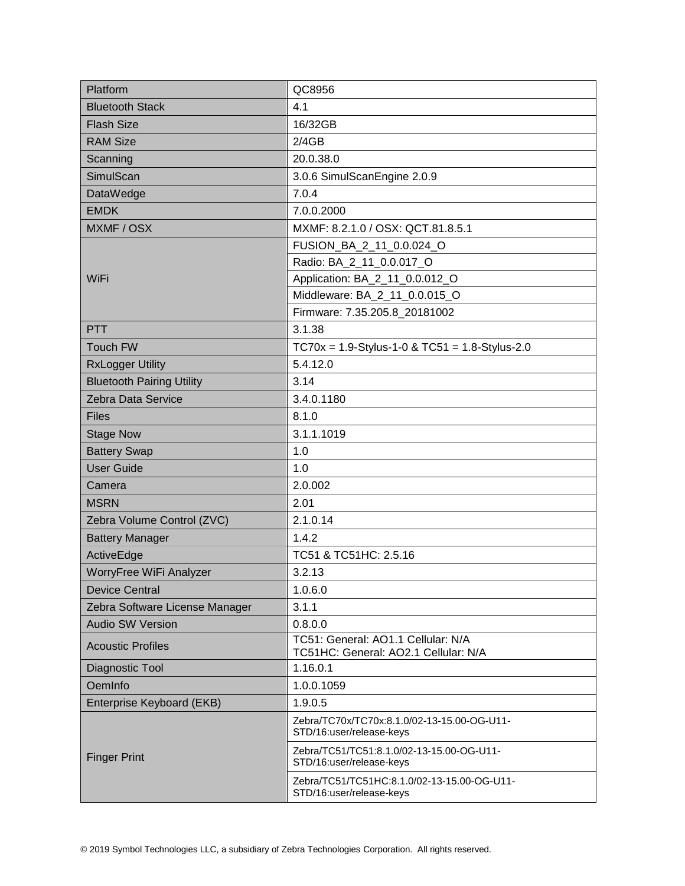| Platform                         | QC8956                                                                     |  |
|----------------------------------|----------------------------------------------------------------------------|--|
| <b>Bluetooth Stack</b>           | 4.1                                                                        |  |
| <b>Flash Size</b>                | 16/32GB                                                                    |  |
| <b>RAM Size</b>                  | 2/4GB                                                                      |  |
| Scanning                         | 20.0.38.0                                                                  |  |
| SimulScan                        | 3.0.6 SimulScanEngine 2.0.9                                                |  |
| DataWedge                        | 7.0.4                                                                      |  |
| <b>EMDK</b>                      | 7.0.0.2000                                                                 |  |
| MXMF / OSX                       | MXMF: 8.2.1.0 / OSX: QCT.81.8.5.1                                          |  |
|                                  | FUSION_BA_2_11_0.0.024_O                                                   |  |
|                                  | Radio: BA_2_11_0.0.017_O                                                   |  |
| WiFi                             | Application: BA_2_11_0.0.012_O                                             |  |
|                                  | Middleware: BA_2_11_0.0.015_O                                              |  |
|                                  | Firmware: 7.35.205.8_20181002                                              |  |
| <b>PTT</b>                       | 3.1.38                                                                     |  |
| <b>Touch FW</b>                  | $TC70x = 1.9-Stylus-1-0 & TC51 = 1.8-Stylus-2.0$                           |  |
| <b>RxLogger Utility</b>          | 5.4.12.0                                                                   |  |
| <b>Bluetooth Pairing Utility</b> | 3.14                                                                       |  |
| Zebra Data Service               | 3.4.0.1180                                                                 |  |
| <b>Files</b>                     | 8.1.0                                                                      |  |
| <b>Stage Now</b>                 | 3.1.1.1019                                                                 |  |
| <b>Battery Swap</b>              | 1.0                                                                        |  |
| <b>User Guide</b>                | 1.0                                                                        |  |
| Camera                           | 2.0.002                                                                    |  |
| <b>MSRN</b>                      | 2.01                                                                       |  |
| Zebra Volume Control (ZVC)       | 2.1.0.14                                                                   |  |
| <b>Battery Manager</b>           | 1.4.2                                                                      |  |
| ActiveEdge                       | TC51 & TC51HC: 2.5.16                                                      |  |
| WorryFree WiFi Analyzer          | 3.2.13                                                                     |  |
| <b>Device Central</b>            | 1.0.6.0                                                                    |  |
| Zebra Software License Manager   | 3.1.1                                                                      |  |
| <b>Audio SW Version</b>          | 0.8.0.0                                                                    |  |
| <b>Acoustic Profiles</b>         | TC51: General: AO1.1 Cellular: N/A<br>TC51HC: General: AO2.1 Cellular: N/A |  |
| Diagnostic Tool                  | 1.16.0.1                                                                   |  |
| OemInfo                          | 1.0.0.1059                                                                 |  |
| Enterprise Keyboard (EKB)        | 1.9.0.5                                                                    |  |
| <b>Finger Print</b>              | Zebra/TC70x/TC70x:8.1.0/02-13-15.00-OG-U11-<br>STD/16:user/release-keys    |  |
|                                  | Zebra/TC51/TC51:8.1.0/02-13-15.00-OG-U11-<br>STD/16:user/release-keys      |  |
|                                  | Zebra/TC51/TC51HC:8.1.0/02-13-15.00-OG-U11-<br>STD/16:user/release-keys    |  |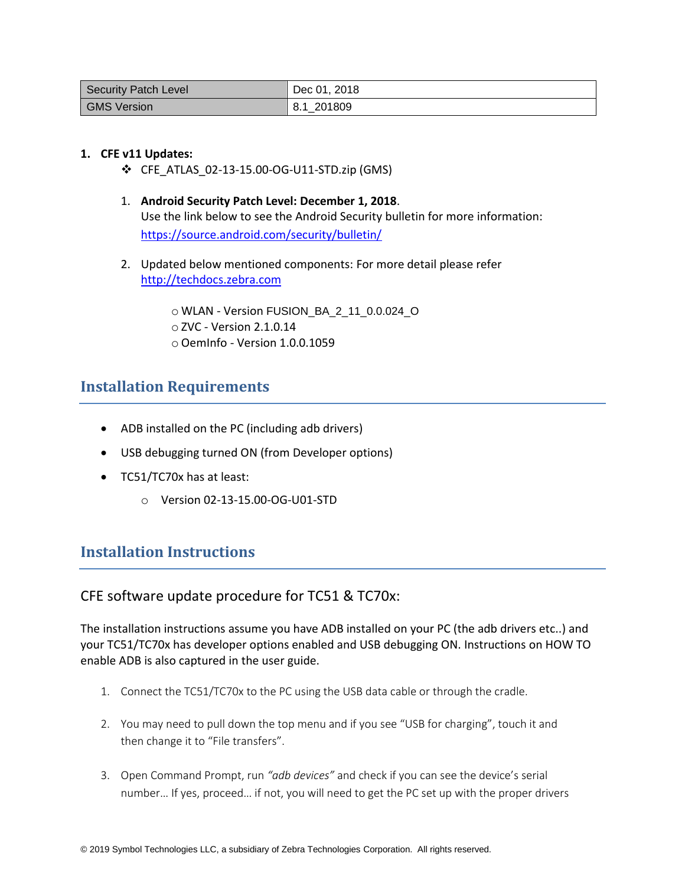| <b>Security Patch Level</b> | Dec 01, 2018 |
|-----------------------------|--------------|
| <b>GMS Version</b>          | 8.1 201809   |

#### **1. CFE v11 Updates:**

- ❖ CFE\_ATLAS\_02-13-15.00-OG-U11-STD.zip (GMS)
- 1. **Android Security Patch Level: December 1, 2018**. Use the link below to see the Android Security bulletin for more information: <https://source.android.com/security/bulletin/>
- 2. Updated below mentioned components: For more detail please refer [http://techdocs.zebra.com](http://techdocs.zebra.com/)

o WLAN - Version FUSION\_BA\_2\_11\_0.0.024\_O o ZVC - Version 2.1.0.14 o OemInfo - Version 1.0.0.1059

## <span id="page-2-0"></span>**Installation Requirements**

- ADB installed on the PC (including adb drivers)
- USB debugging turned ON (from Developer options)
- TC51/TC70x has at least:
	- o Version 02-13-15.00-OG-U01-STD

# <span id="page-2-1"></span>**Installation Instructions**

#### CFE software update procedure for TC51 & TC70x:

The installation instructions assume you have ADB installed on your PC (the adb drivers etc..) and your TC51/TC70x has developer options enabled and USB debugging ON. Instructions on HOW TO enable ADB is also captured in the user guide.

- 1. Connect the TC51/TC70x to the PC using the USB data cable or through the cradle.
- 2. You may need to pull down the top menu and if you see "USB for charging", touch it and then change it to "File transfers".
- 3. Open Command Prompt, run *"adb devices"* and check if you can see the device's serial number… If yes, proceed… if not, you will need to get the PC set up with the proper drivers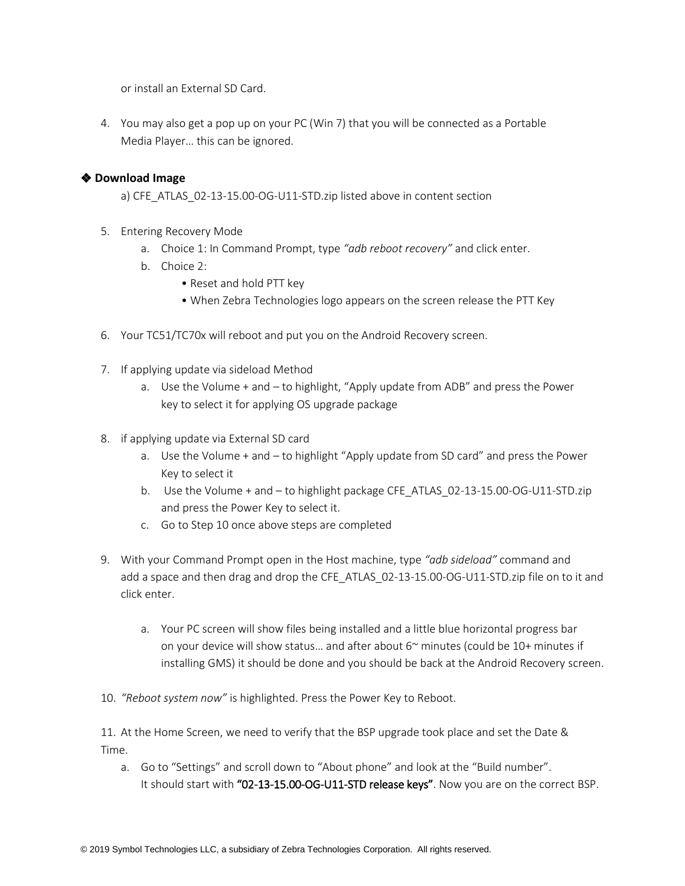or install an External SD Card.

4. You may also get a pop up on your PC (Win 7) that you will be connected as a Portable Media Player… this can be ignored.

#### ❖ **Download Image**

a) CFE\_ATLAS\_02-13-15.00-OG-U11-STD.zip listed above in content section

- 5. Entering Recovery Mode
	- a. Choice 1: In Command Prompt, type *"adb reboot recovery"* and click enter.
	- b. Choice 2:
		- Reset and hold PTT key
		- When Zebra Technologies logo appears on the screen release the PTT Key
- 6. Your TC51/TC70x will reboot and put you on the Android Recovery screen.
- 7. If applying update via sideload Method
	- a. Use the Volume + and to highlight, "Apply update from ADB" and press the Power key to select it for applying OS upgrade package
- 8. if applying update via External SD card
	- a. Use the Volume + and to highlight "Apply update from SD card" and press the Power Key to select it
	- b. Use the Volume + and to highlight package CFE\_ATLAS\_02-13-15.00-OG-U11-STD.zip and press the Power Key to select it.
	- c. Go to Step 10 once above steps are completed
- 9. With your Command Prompt open in the Host machine, type *"adb sideload"* command and add a space and then drag and drop the CFE\_ATLAS\_02-13-15.00-OG-U11-STD.zip file on to it and click enter.
	- a. Your PC screen will show files being installed and a little blue horizontal progress bar on your device will show status... and after about  $6<sup>o</sup>$  minutes (could be 10+ minutes if installing GMS) it should be done and you should be back at the Android Recovery screen.
- 10. *"Reboot system now"* is highlighted. Press the Power Key to Reboot.

11. At the Home Screen, we need to verify that the BSP upgrade took place and set the Date & Time.

a. Go to "Settings" and scroll down to "About phone" and look at the "Build number". It should start with "02-13-15.00-OG-U11-STD release keys". Now you are on the correct BSP.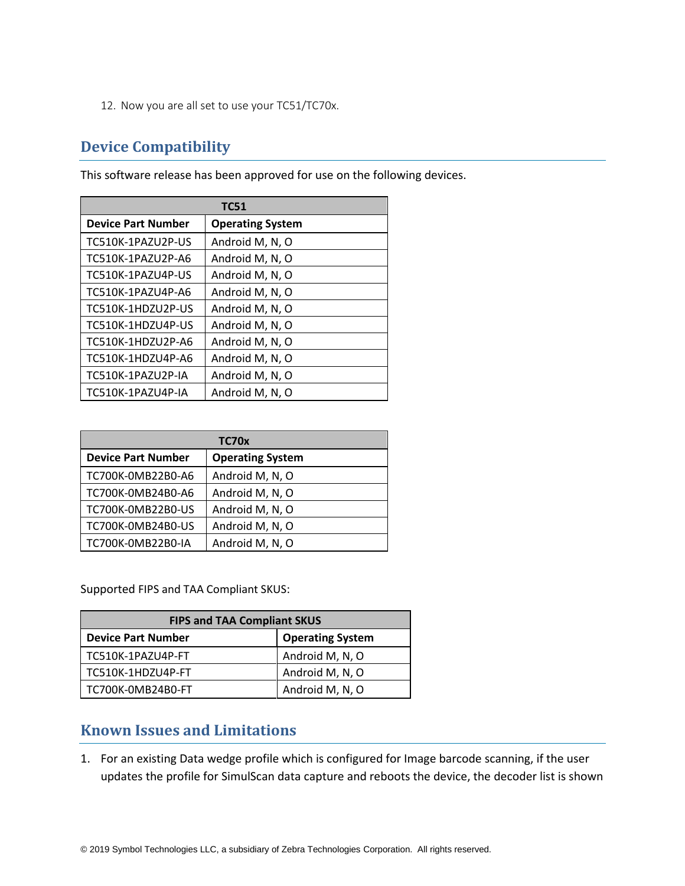12. Now you are all set to use your TC51/TC70x.

# <span id="page-4-0"></span>**Device Compatibility**

**TC51 Device Part Number** | Operating System  $TC510K-1PAZU2P-US$  Android M, N, O TC510K-1PAZU2P-A6  $|$  Android M, N, O  $TC510K-1PAZU4P-US$  Android M, N, O  $TC510K-1PAZU4P-AG$  | Android M, N, O  $TCS10K-1HDZU2P-US$  | Android M, N, O TC510K-1HDZU4P-US  $|$  Android M, N, O TC510K-1HDZU2P-A6  $\vert$  Android M, N, O  $TCS10K-1HDZU4P-AG$  | Android M, N, O TC510K-1PAZU2P-IA | Android M, N, O TC510K-1PAZU4P-IA | Android M, N, O

This software release has been approved for use on the following devices.

| TC70x                     |                         |  |
|---------------------------|-------------------------|--|
| <b>Device Part Number</b> | <b>Operating System</b> |  |
| TC700K-0MB22B0-A6         | Android M, N, O         |  |
| TC700K-0MB24B0-A6         | Android M, N, O         |  |
| TC700K-0MB22B0-US         | Android M, N, O         |  |
| TC700K-0MB24B0-US         | Android M, N, O         |  |
| TC700K-0MB22B0-IA         | Android M, N, O         |  |

Supported FIPS and TAA Compliant SKUS:

| <b>FIPS and TAA Compliant SKUS</b> |                         |  |
|------------------------------------|-------------------------|--|
| <b>Device Part Number</b>          | <b>Operating System</b> |  |
| TC510K-1PAZU4P-FT                  | Android M, N, O         |  |
| TC510K-1HDZU4P-FT                  | Android M, N, O         |  |
| TC700K-0MB24B0-FT                  | Android M, N, O         |  |

## <span id="page-4-1"></span>**Known Issues and Limitations**

1. For an existing Data wedge profile which is configured for Image barcode scanning, if the user updates the profile for SimulScan data capture and reboots the device, the decoder list is shown